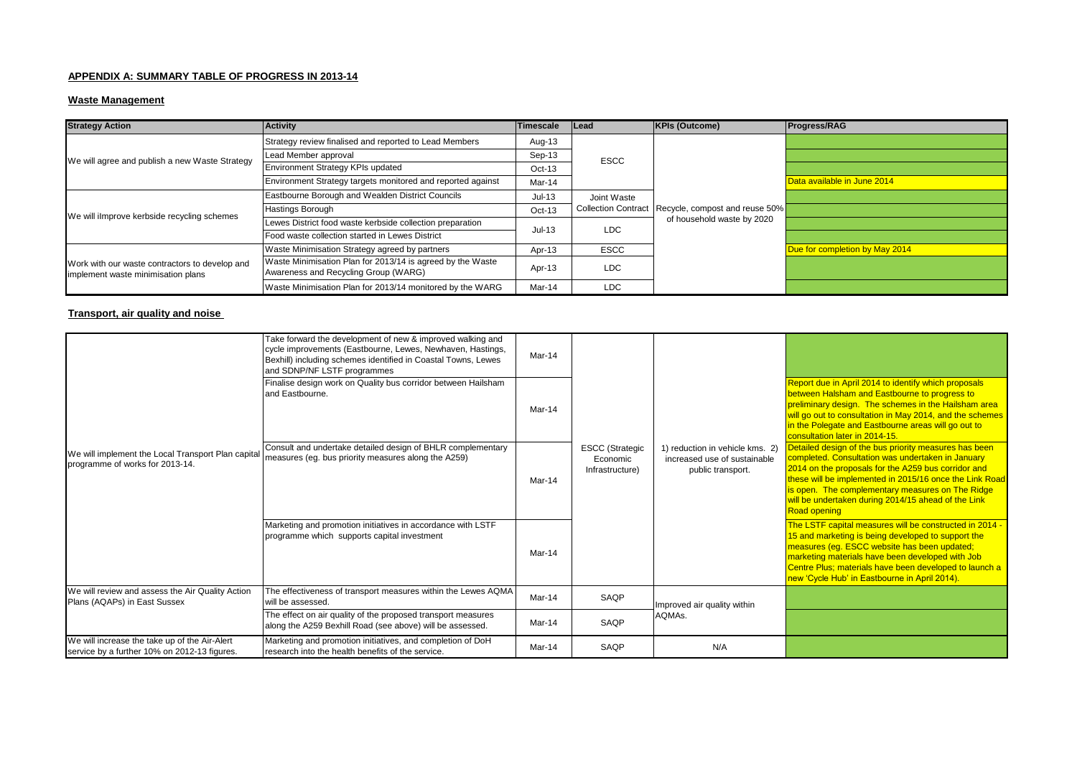# **APPENDIX A: SUMMARY TABLE OF PROGRESS IN 2013-14**

# **Waste Management**

| <b>Strategy Action</b>                                                               | <b>Activity</b>                                                                                    | <b>Timescale</b> | <b>Lead</b> | <b>KPIs (Outcome)</b>                                                              | <b>Progress/RAG</b>            |
|--------------------------------------------------------------------------------------|----------------------------------------------------------------------------------------------------|------------------|-------------|------------------------------------------------------------------------------------|--------------------------------|
| We will agree and publish a new Waste Strategy                                       | Strategy review finalised and reported to Lead Members                                             | Aug-13           | <b>ESCC</b> | Collection Contract   Recycle, compost and reuse 50%<br>of household waste by 2020 |                                |
|                                                                                      | Lead Member approval                                                                               | Sep-13           |             |                                                                                    |                                |
|                                                                                      | Environment Strategy KPIs updated                                                                  | $Oct-13$         |             |                                                                                    |                                |
|                                                                                      | Environment Strategy targets monitored and reported against                                        | Mar-14           |             |                                                                                    | Data available in June 2014    |
| We will ilmprove kerbside recycling schemes                                          | Eastbourne Borough and Wealden District Councils                                                   | $Jul-13$         | Joint Waste |                                                                                    |                                |
|                                                                                      | <b>Hastings Borough</b>                                                                            | $Oct-13$         |             |                                                                                    |                                |
|                                                                                      | Lewes District food waste kerbside collection preparation                                          | $Jul-13$         | LDC         |                                                                                    |                                |
|                                                                                      | Food waste collection started in Lewes District                                                    |                  |             |                                                                                    |                                |
| Work with our waste contractors to develop and<br>implement waste minimisation plans | Waste Minimisation Strategy agreed by partners                                                     | Apr-13           | <b>ESCC</b> |                                                                                    | Due for completion by May 2014 |
|                                                                                      | Waste Minimisation Plan for 2013/14 is agreed by the Waste<br>Awareness and Recycling Group (WARG) | Apr-13           | LDC         |                                                                                    |                                |
|                                                                                      | Waste Minimisation Plan for 2013/14 monitored by the WARG                                          | Mar-14           | <b>LDC</b>  |                                                                                    |                                |

# **Transport, air quality and noise**

| We will implement the Local Transport Plan capital<br>programme of works for 2013-14.         | Take forward the development of new & improved walking and<br>cycle improvements (Eastbourne, Lewes, Newhaven, Hastings,<br>Bexhill) including schemes identified in Coastal Towns, Lewes<br>and SDNP/NF LSTF programmes | Mar-14 | <b>ESCC</b> (Strategic<br>Economic<br>Infrastructure) | 1) reduction in vehicle kms. 2)<br>increased use of sustainable<br>public transport. |                                                                                                                                                                                                                                                                                                                                                                |
|-----------------------------------------------------------------------------------------------|--------------------------------------------------------------------------------------------------------------------------------------------------------------------------------------------------------------------------|--------|-------------------------------------------------------|--------------------------------------------------------------------------------------|----------------------------------------------------------------------------------------------------------------------------------------------------------------------------------------------------------------------------------------------------------------------------------------------------------------------------------------------------------------|
|                                                                                               | Finalise design work on Quality bus corridor between Hailsham<br>and Eastbourne.                                                                                                                                         | Mar-14 |                                                       |                                                                                      | Report due in April 2014 to identify which proposals<br>between Halsham and Eastbourne to progress to<br>preliminary design. The schemes in the Hailsham area<br>will go out to consultation in May 2014, and the schemes<br>in the Polegate and Eastbourne areas will go out to<br>consultation later in 2014-15.                                             |
|                                                                                               | Consult and undertake detailed design of BHLR complementary<br>measures (eq. bus priority measures along the A259)                                                                                                       | Mar-14 |                                                       |                                                                                      | Detailed design of the bus priority measures has been<br>completed. Consultation was undertaken in January<br>2014 on the proposals for the A259 bus corridor and<br>these will be implemented in 2015/16 once the Link Road<br>is open. The complementary measures on The Ridge<br>will be undertaken during 2014/15 ahead of the Link<br><b>Road opening</b> |
|                                                                                               | Marketing and promotion initiatives in accordance with LSTF<br>programme which supports capital investment                                                                                                               | Mar-14 |                                                       |                                                                                      | The LSTF capital measures will be constructed in 2014 -<br>15 and marketing is being developed to support the<br>measures (eg. ESCC website has been updated;<br>marketing materials have been developed with Job<br>Centre Plus; materials have been developed to launch a<br>new 'Cycle Hub' in Eastbourne in April 2014).                                   |
| We will review and assess the Air Quality Action<br>Plans (AQAPs) in East Sussex              | The effectiveness of transport measures within the Lewes AQMA<br>will be assessed.                                                                                                                                       | Mar-14 | SAQP                                                  | Improved air quality within<br>AQMAs.                                                |                                                                                                                                                                                                                                                                                                                                                                |
|                                                                                               | The effect on air quality of the proposed transport measures<br>along the A259 Bexhill Road (see above) will be assessed.                                                                                                | Mar-14 | SAQP                                                  |                                                                                      |                                                                                                                                                                                                                                                                                                                                                                |
| We will increase the take up of the Air-Alert<br>service by a further 10% on 2012-13 figures. | Marketing and promotion initiatives, and completion of DoH<br>research into the health benefits of the service.                                                                                                          | Mar-14 | SAQP                                                  | N/A                                                                                  |                                                                                                                                                                                                                                                                                                                                                                |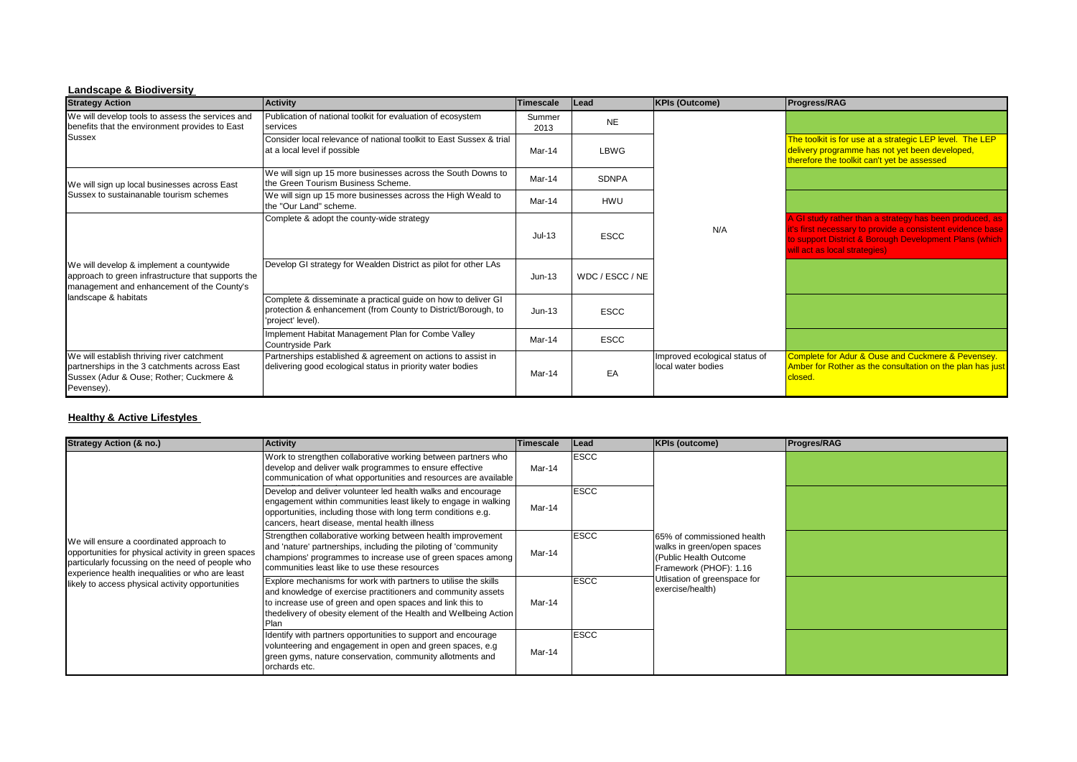#### **Landscape & Biodiversity**

| <b>Strategy Action</b>                                                                                                                                               | <b>Activity</b>                                                                                                                                     | Timescale      | Lead            | <b>KPIs (Outcome)</b>                               | Progress/RAG                                                                                                                                                                                                     |
|----------------------------------------------------------------------------------------------------------------------------------------------------------------------|-----------------------------------------------------------------------------------------------------------------------------------------------------|----------------|-----------------|-----------------------------------------------------|------------------------------------------------------------------------------------------------------------------------------------------------------------------------------------------------------------------|
| We will develop tools to assess the services and<br>benefits that the environment provides to East                                                                   | Publication of national toolkit for evaluation of ecosystem<br>services                                                                             | Summer<br>2013 | <b>NE</b>       |                                                     |                                                                                                                                                                                                                  |
| <b>Sussex</b>                                                                                                                                                        | Consider local relevance of national toolkit to East Sussex & trial<br>at a local level if possible                                                 | Mar-14         | LBWG            |                                                     | The toolkit is for use at a strategic LEP level. The LEP<br>delivery programme has not yet been developed,<br>therefore the toolkit can't yet be assessed                                                        |
| We will sign up local businesses across East<br>Sussex to sustainanable tourism schemes                                                                              | We will sign up 15 more businesses across the South Downs to<br>the Green Tourism Business Scheme.                                                  | Mar-14         | <b>SDNPA</b>    |                                                     |                                                                                                                                                                                                                  |
|                                                                                                                                                                      | We will sign up 15 more businesses across the High Weald to<br>the "Our Land" scheme.                                                               | Mar-14         | HWU             |                                                     |                                                                                                                                                                                                                  |
| We will develop & implement a countywide<br>approach to green infrastructure that supports the<br>management and enhancement of the County's<br>landscape & habitats | Complete & adopt the county-wide strategy                                                                                                           | $Jul-13$       | <b>ESCC</b>     | N/A                                                 | A GI study rather than a strategy has been produced, as<br>it's first necessary to provide a consistent evidence base<br>to support District & Borough Development Plans (which<br>will act as local strategies) |
|                                                                                                                                                                      | Develop GI strategy for Wealden District as pilot for other LAs                                                                                     | $Jun-13$       | WDC / ESCC / NE |                                                     |                                                                                                                                                                                                                  |
|                                                                                                                                                                      | Complete & disseminate a practical guide on how to deliver GI<br>protection & enhancement (from County to District/Borough, to<br>'project' level). | $Jun-13$       | <b>ESCC</b>     |                                                     |                                                                                                                                                                                                                  |
|                                                                                                                                                                      | Implement Habitat Management Plan for Combe Valley<br>Countryside Park                                                                              | Mar-14         | <b>ESCC</b>     |                                                     |                                                                                                                                                                                                                  |
| We will establish thriving river catchment<br>partnerships in the 3 catchments across East<br>Sussex (Adur & Ouse; Rother; Cuckmere &<br>Pevensey).                  | Partnerships established & agreement on actions to assist in<br>delivering good ecological status in priority water bodies                          | Mar-14         | EA              | Improved ecological status of<br>local water bodies | Complete for Adur & Ouse and Cuckmere & Pevensey.<br>Amber for Rother as the consultation on the plan has just<br>closed.                                                                                        |

### **Healthy & Active Lifestyles**

| <b>Strategy Action (&amp; no.)</b>                                                                                                                                                                                                                         | <b>Activity</b>                                                                                                                                                                                                                                                            | <b>Timescale</b> | Lead        | <b>KPIs (outcome)</b>                                                                                                                                            | <b>Progres/RAG</b> |
|------------------------------------------------------------------------------------------------------------------------------------------------------------------------------------------------------------------------------------------------------------|----------------------------------------------------------------------------------------------------------------------------------------------------------------------------------------------------------------------------------------------------------------------------|------------------|-------------|------------------------------------------------------------------------------------------------------------------------------------------------------------------|--------------------|
| We will ensure a coordinated approach to<br>opportunities for physical activity in green spaces<br>particularly focussing on the need of people who<br>experience health inequalities or who are least<br>likely to access physical activity opportunities | Work to strengthen collaborative working between partners who<br>develop and deliver walk programmes to ensure effective<br>communication of what opportunities and resources are available                                                                                | Mar-14           | <b>ESCC</b> | 65% of commissioned health<br>walks in green/open spaces<br>(Public Health Outcome<br>Framework (PHOF): 1.16<br>Utlisation of greenspace for<br>exercise/health) |                    |
|                                                                                                                                                                                                                                                            | Develop and deliver volunteer led health walks and encourage<br>engagement within communities least likely to engage in walking<br>opportunities, including those with long term conditions e.g.<br>cancers, heart disease, mental health illness                          | Mar-14           | <b>ESCC</b> |                                                                                                                                                                  |                    |
|                                                                                                                                                                                                                                                            | Strengthen collaborative working between health improvement<br>and 'nature' partnerships, including the piloting of 'community<br>champions' programmes to increase use of green spaces among<br>communities least like to use these resources                             | Mar-14           | <b>ESCC</b> |                                                                                                                                                                  |                    |
|                                                                                                                                                                                                                                                            | Explore mechanisms for work with partners to utilise the skills<br>and knowledge of exercise practitioners and community assets<br>to increase use of green and open spaces and link this to<br>the delivery of obesity element of the Health and Wellbeing Action<br>Plan | Mar-14           | <b>ESCC</b> |                                                                                                                                                                  |                    |
|                                                                                                                                                                                                                                                            | Identify with partners opportunities to support and encourage<br>volunteering and engagement in open and green spaces, e.g.<br>green gyms, nature conservation, community allotments and<br>orchards etc.                                                                  | Mar-14           | <b>ESCC</b> |                                                                                                                                                                  |                    |